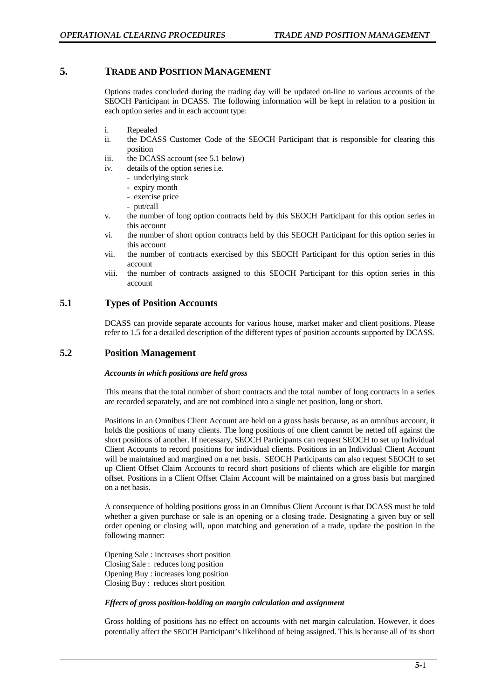# **5. TRADE AND POSITION MANAGEMENT**

Options trades concluded during the trading day will be updated on-line to various accounts of the SEOCH Participant in DCASS. The following information will be kept in relation to a position in each option series and in each account type:

- i. Repealed
- ii. the DCASS Customer Code of the SEOCH Participant that is responsible for clearing this position
- iii. the DCASS account (see 5.1 below)
- iv. details of the option series i.e.
	- underlying stock
	- expiry month
	- exercise price
	- put/call
- v. the number of long option contracts held by this SEOCH Participant for this option series in this account
- vi. the number of short option contracts held by this SEOCH Participant for this option series in this account
- vii. the number of contracts exercised by this SEOCH Participant for this option series in this account
- viii. the number of contracts assigned to this SEOCH Participant for this option series in this account

## **5.1 Types of Position Accounts**

DCASS can provide separate accounts for various house, market maker and client positions. Please refer to 1.5 for a detailed description of the different types of position accounts supported by DCASS.

# **5.2 Position Management**

#### *Accounts in which positions are held gross*

This means that the total number of short contracts and the total number of long contracts in a series are recorded separately, and are not combined into a single net position, long or short.

Positions in an Omnibus Client Account are held on a gross basis because, as an omnibus account, it holds the positions of many clients. The long positions of one client cannot be netted off against the short positions of another. If necessary, SEOCH Participants can request SEOCH to set up Individual Client Accounts to record positions for individual clients. Positions in an Individual Client Account will be maintained and margined on a net basis. SEOCH Participants can also request SEOCH to set up Client Offset Claim Accounts to record short positions of clients which are eligible for margin offset. Positions in a Client Offset Claim Account will be maintained on a gross basis but margined on a net basis.

A consequence of holding positions gross in an Omnibus Client Account is that DCASS must be told whether a given purchase or sale is an opening or a closing trade. Designating a given buy or sell order opening or closing will, upon matching and generation of a trade, update the position in the following manner:

Opening Sale : increases short position Closing Sale : reduces long position Opening Buy : increases long position Closing Buy : reduces short position

#### *Effects of gross position-holding on margin calculation and assignment*

Gross holding of positions has no effect on accounts with net margin calculation. However, it does potentially affect the SEOCH Participant's likelihood of being assigned. This is because all of its short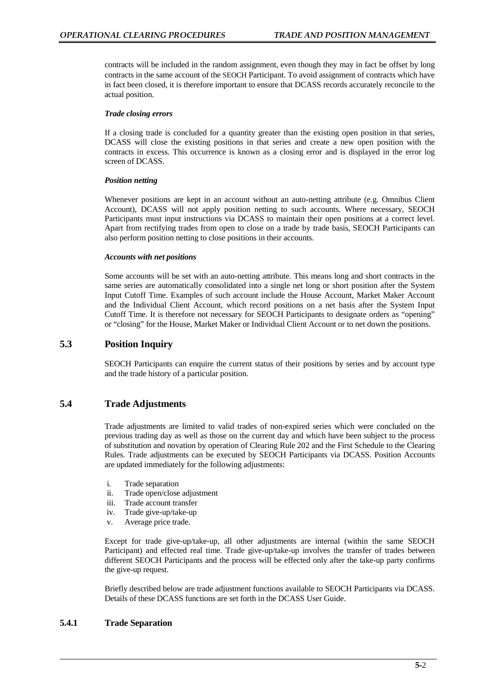contracts will be included in the random assignment, even though they may in fact be offset by long contracts in the same account of the SEOCH Participant. To avoid assignment of contracts which have in fact been closed, it is therefore important to ensure that DCASS records accurately reconcile to the actual position.

#### *Trade closing errors*

If a closing trade is concluded for a quantity greater than the existing open position in that series, DCASS will close the existing positions in that series and create a new open position with the contracts in excess. This occurrence is known as a closing error and is displayed in the error log screen of DCASS.

#### *Position netting*

Whenever positions are kept in an account without an auto-netting attribute (e.g. Omnibus Client Account), DCASS will not apply position netting to such accounts. Where necessary, SEOCH Participants must input instructions via DCASS to maintain their open positions at a correct level. Apart from rectifying trades from open to close on a trade by trade basis, SEOCH Participants can also perform position netting to close positions in their accounts.

#### *Accounts with net positions*

Some accounts will be set with an auto-netting attribute. This means long and short contracts in the same series are automatically consolidated into a single net long or short position after the System Input Cutoff Time. Examples of such account include the House Account, Market Maker Account and the Individual Client Account, which record positions on a net basis after the System Input Cutoff Time. It is therefore not necessary for SEOCH Participants to designate orders as "opening" or "closing" for the House, Market Maker or Individual Client Account or to net down the positions.

## **5.3 Position Inquiry**

SEOCH Participants can enquire the current status of their positions by series and by account type and the trade history of a particular position.

## **5.4 Trade Adjustments**

Trade adjustments are limited to valid trades of non-expired series which were concluded on the previous trading day as well as those on the current day and which have been subject to the process of substitution and novation by operation of Clearing Rule 202 and the First Schedule to the Clearing Rules. Trade adjustments can be executed by SEOCH Participants via DCASS. Position Accounts are updated immediately for the following adjustments:

- i. Trade separation
- ii. Trade open/close adjustment
- iii. Trade account transfer
- iv. Trade give-up/take-up
- v. Average price trade.

Except for trade give-up/take-up, all other adjustments are internal (within the same SEOCH Participant) and effected real time. Trade give-up/take-up involves the transfer of trades between different SEOCH Participants and the process will be effected only after the take-up party confirms the give-up request.

Briefly described below are trade adjustment functions available to SEOCH Participants via DCASS. Details of these DCASS functions are set forth in the DCASS User Guide.

## **5.4.1 Trade Separation**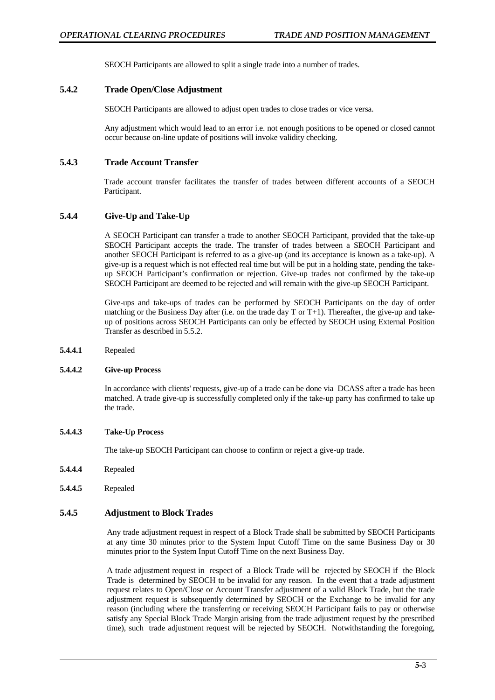SEOCH Participants are allowed to split a single trade into a number of trades.

## **5.4.2 Trade Open/Close Adjustment**

SEOCH Participants are allowed to adjust open trades to close trades or vice versa.

Any adjustment which would lead to an error i.e. not enough positions to be opened or closed cannot occur because on-line update of positions will invoke validity checking.

## **5.4.3 Trade Account Transfer**

Trade account transfer facilitates the transfer of trades between different accounts of a SEOCH Participant.

## **5.4.4 Give-Up and Take-Up**

A SEOCH Participant can transfer a trade to another SEOCH Participant, provided that the take-up SEOCH Participant accepts the trade. The transfer of trades between a SEOCH Participant and another SEOCH Participant is referred to as a give-up (and its acceptance is known as a take-up). A give-up is a request which is not effected real time but will be put in a holding state, pending the takeup SEOCH Participant's confirmation or rejection. Give-up trades not confirmed by the take-up SEOCH Participant are deemed to be rejected and will remain with the give-up SEOCH Participant.

Give-ups and take-ups of trades can be performed by SEOCH Participants on the day of order matching or the Business Day after (i.e. on the trade day T or T+1). Thereafter, the give-up and takeup of positions across SEOCH Participants can only be effected by SEOCH using External Position Transfer as described in 5.5.2.

**5.4.4.1** Repealed

#### **5.4.4.2 Give-up Process**

In accordance with clients' requests, give-up of a trade can be done via DCASS after a trade has been matched. A trade give-up is successfully completed only if the take-up party has confirmed to take up the trade.

#### **5.4.4.3 Take-Up Process**

The take-up SEOCH Participant can choose to confirm or reject a give-up trade.

- **5.4.4.4** Repealed
- **5.4.4.5** Repealed

### **5.4.5 Adjustment to Block Trades**

Any trade adjustment request in respect of a Block Trade shall be submitted by SEOCH Participants at any time 30 minutes prior to the System Input Cutoff Time on the same Business Day or 30 minutes prior to the System Input Cutoff Time on the next Business Day.

A trade adjustment request in respect of a Block Trade will be rejected by SEOCH if the Block Trade is determined by SEOCH to be invalid for any reason. In the event that a trade adjustment request relates to Open/Close or Account Transfer adjustment of a valid Block Trade, but the trade adjustment request is subsequently determined by SEOCH or the Exchange to be invalid for any reason (including where the transferring or receiving SEOCH Participant fails to pay or otherwise satisfy any Special Block Trade Margin arising from the trade adjustment request by the prescribed time), such trade adjustment request will be rejected by SEOCH. Notwithstanding the foregoing,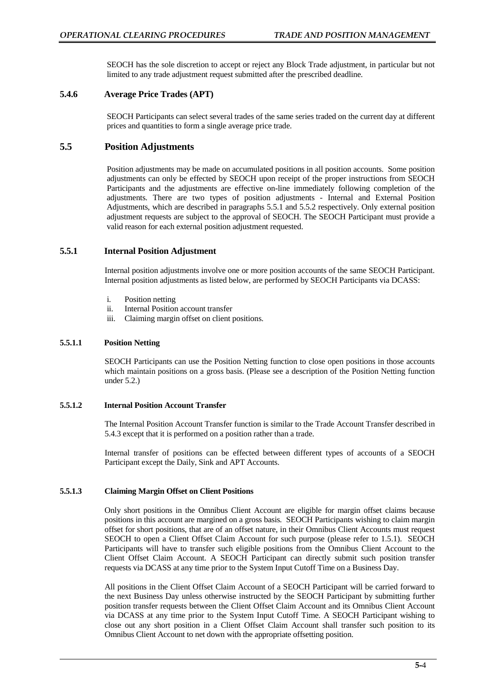SEOCH has the sole discretion to accept or reject any Block Trade adjustment, in particular but not limited to any trade adjustment request submitted after the prescribed deadline.

## **5.4.6 Average Price Trades (APT)**

SEOCH Participants can select several trades of the same series traded on the current day at different prices and quantities to form a single average price trade.

## **5.5 Position Adjustments**

Position adjustments may be made on accumulated positions in all position accounts. Some position adjustments can only be effected by SEOCH upon receipt of the proper instructions from SEOCH Participants and the adjustments are effective on-line immediately following completion of the adjustments. There are two types of position adjustments - Internal and External Position Adjustments, which are described in paragraphs 5.5.1 and 5.5.2 respectively. Only external position adjustment requests are subject to the approval of SEOCH. The SEOCH Participant must provide a valid reason for each external position adjustment requested.

## **5.5.1 Internal Position Adjustment**

Internal position adjustments involve one or more position accounts of the same SEOCH Participant. Internal position adjustments as listed below, are performed by SEOCH Participants via DCASS:

- i. Position netting
- ii. Internal Position account transfer
- iii. Claiming margin offset on client positions.

## **5.5.1.1 Position Netting**

SEOCH Participants can use the Position Netting function to close open positions in those accounts which maintain positions on a gross basis. (Please see a description of the Position Netting function under 5.2.)

## **5.5.1.2 Internal Position Account Transfer**

The Internal Position Account Transfer function is similar to the Trade Account Transfer described in 5.4.3 except that it is performed on a position rather than a trade.

Internal transfer of positions can be effected between different types of accounts of a SEOCH Participant except the Daily, Sink and APT Accounts.

#### **5.5.1.3 Claiming Margin Offset on Client Positions**

Only short positions in the Omnibus Client Account are eligible for margin offset claims because positions in this account are margined on a gross basis. SEOCH Participants wishing to claim margin offset for short positions, that are of an offset nature, in their Omnibus Client Accounts must request SEOCH to open a Client Offset Claim Account for such purpose (please refer to 1.5.1). SEOCH Participants will have to transfer such eligible positions from the Omnibus Client Account to the Client Offset Claim Account. A SEOCH Participant can directly submit such position transfer requests via DCASS at any time prior to the System Input Cutoff Time on a Business Day.

All positions in the Client Offset Claim Account of a SEOCH Participant will be carried forward to the next Business Day unless otherwise instructed by the SEOCH Participant by submitting further position transfer requests between the Client Offset Claim Account and its Omnibus Client Account via DCASS at any time prior to the System Input Cutoff Time. A SEOCH Participant wishing to close out any short position in a Client Offset Claim Account shall transfer such position to its Omnibus Client Account to net down with the appropriate offsetting position.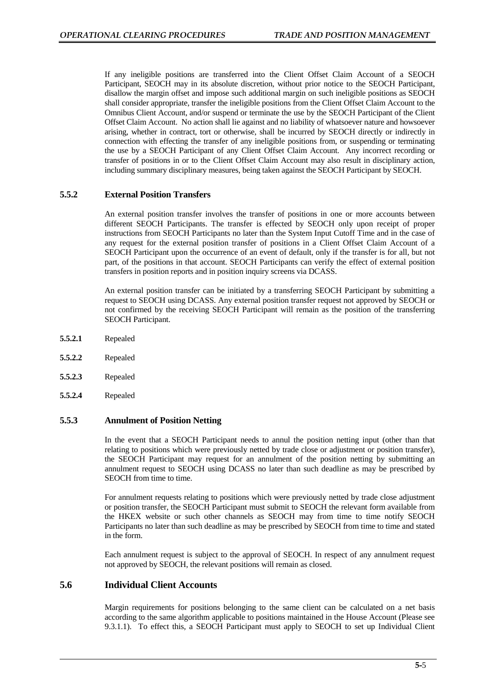If any ineligible positions are transferred into the Client Offset Claim Account of a SEOCH Participant, SEOCH may in its absolute discretion, without prior notice to the SEOCH Participant, disallow the margin offset and impose such additional margin on such ineligible positions as SEOCH shall consider appropriate, transfer the ineligible positions from the Client Offset Claim Account to the Omnibus Client Account, and/or suspend or terminate the use by the SEOCH Participant of the Client Offset Claim Account. No action shall lie against and no liability of whatsoever nature and howsoever arising, whether in contract, tort or otherwise, shall be incurred by SEOCH directly or indirectly in connection with effecting the transfer of any ineligible positions from, or suspending or terminating the use by a SEOCH Participant of any Client Offset Claim Account. Any incorrect recording or transfer of positions in or to the Client Offset Claim Account may also result in disciplinary action, including summary disciplinary measures, being taken against the SEOCH Participant by SEOCH.

## **5.5.2 External Position Transfers**

An external position transfer involves the transfer of positions in one or more accounts between different SEOCH Participants. The transfer is effected by SEOCH only upon receipt of proper instructions from SEOCH Participants no later than the System Input Cutoff Time and in the case of any request for the external position transfer of positions in a Client Offset Claim Account of a SEOCH Participant upon the occurrence of an event of default, only if the transfer is for all, but not part, of the positions in that account. SEOCH Participants can verify the effect of external position transfers in position reports and in position inquiry screens via DCASS.

An external position transfer can be initiated by a transferring SEOCH Participant by submitting a request to SEOCH using DCASS. Any external position transfer request not approved by SEOCH or not confirmed by the receiving SEOCH Participant will remain as the position of the transferring SEOCH Participant.

- **5.5.2.1** Repealed
- **5.5.2.2** Repealed
- **5.5.2.3** Repealed
- **5.5.2.4** Repealed

### **5.5.3 Annulment of Position Netting**

In the event that a SEOCH Participant needs to annul the position netting input (other than that relating to positions which were previously netted by trade close or adjustment or position transfer), the SEOCH Participant may request for an annulment of the position netting by submitting an annulment request to SEOCH using DCASS no later than such deadline as may be prescribed by SEOCH from time to time.

For annulment requests relating to positions which were previously netted by trade close adjustment or position transfer, the SEOCH Participant must submit to SEOCH the relevant form available from the HKEX website or such other channels as SEOCH may from time to time notify SEOCH Participants no later than such deadline as may be prescribed by SEOCH from time to time and stated in the form.

Each annulment request is subject to the approval of SEOCH. In respect of any annulment request not approved by SEOCH, the relevant positions will remain as closed.

### **5.6 Individual Client Accounts**

Margin requirements for positions belonging to the same client can be calculated on a net basis according to the same algorithm applicable to positions maintained in the House Account (Please see 9.3.1.1). To effect this, a SEOCH Participant must apply to SEOCH to set up Individual Client